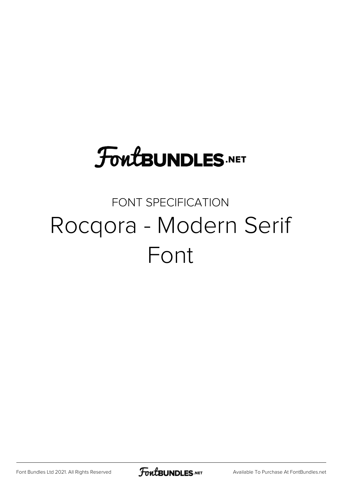## **FoutBUNDLES.NET**

### FONT SPECIFICATION Rocqora - Modern Serif Font

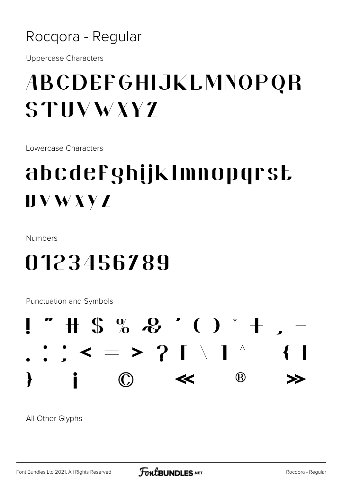#### Rocqora - Regular

**Uppercase Characters** 

### ABCDEFGHIJKLMNOPQR  $STIIVWXY$

Lowercase Characters

### abcdefghijklmnopgrst  $UVWXYZ$

**Numbers** 

### 0123456789

**Punctuation and Symbols** 



All Other Glyphs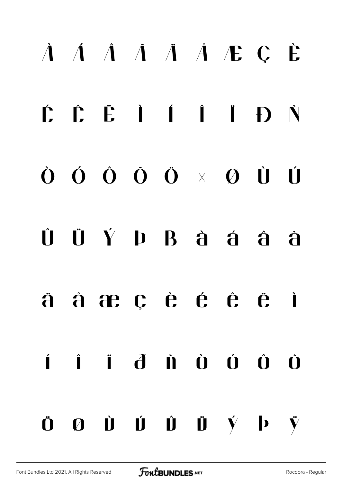# À Á Â Ã Ä Å Æ Ç È É Ê Ë Ì Í Î Ï Ð Ñ Ò Ó Ô Õ Ö × Ø Ù Ú Û Ü Ý Þ ß à á â ã ä å æ ç è é ê ë ì í î ï ð ñ ò ó ô õ  $\ddot{\mathbf{0}}$   $\mathbf{0}$   $\dot{\mathbf{0}}$   $\dot{\mathbf{0}}$   $\ddot{\mathbf{0}}$   $\dot{\mathbf{0}}$   $\dot{\mathbf{0}}$   $\dot{\mathbf{v}}$   $\dot{\mathbf{p}}$   $\ddot{\mathbf{y}}$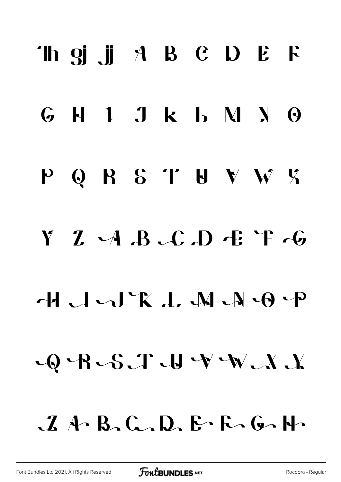# Th gj .ji A B C D E F  $G$  H I J k  $L$  M N  $\Theta$ P Q R S T U V W K  $YZA.B.C.D EFA$  $\bigcirc$  R $\bigcirc$ S $\bigcirc$  U V $\bigcirc$  X $\bigcirc$  $A \wedge B$ ,  $C \wedge D$ ,  $E \wedge F \wedge G \wedge F$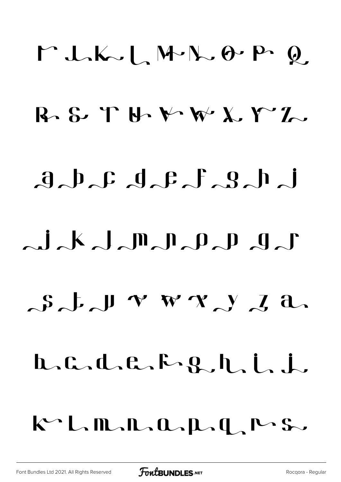# $M L K \cup L M R \cup D P Q$  $R$  & TH  $M$   $M$   $X$   $T$ .  $d_{\alpha}b_{\alpha}c_{\alpha}d_{\alpha}c_{\alpha}f_{\alpha}g_{\alpha}h_{\alpha}$  $\lambda = i_{\lambda} k_{\lambda} \int_{\mathbb{R}} \prod_{\alpha} \prod_{\alpha} \rho_{\alpha} p_{\alpha} p_{\alpha}$  $S_J \cup V W X$ ,  $Y_A a$  $L.C.d.c.F.g.h.i.$